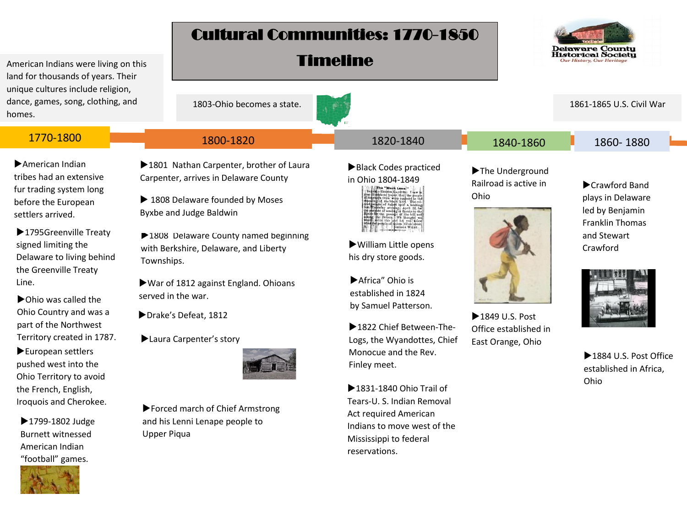## Cultural Communities: 1770-1850

Timeline



American Indians were living on this land for thousands of years. Their unique cultures include religion, dance, games, song, clothing, and homes.

American Indian tribes had an extensive fur trading system long before the European settlers arrived.

▶ 1795 Greenville Treaty signed limiting the Delaware to living behind the Greenville Treaty Line.

▶ Ohio was called the Ohio Country and was a part of the Northwest Territory created in 1787.

European settlers pushed west into the Ohio Territory to avoid the French, English, Iroquois and Cherokee.

▶1799-1802 Judge Burnett witnessed American Indian "football" games.